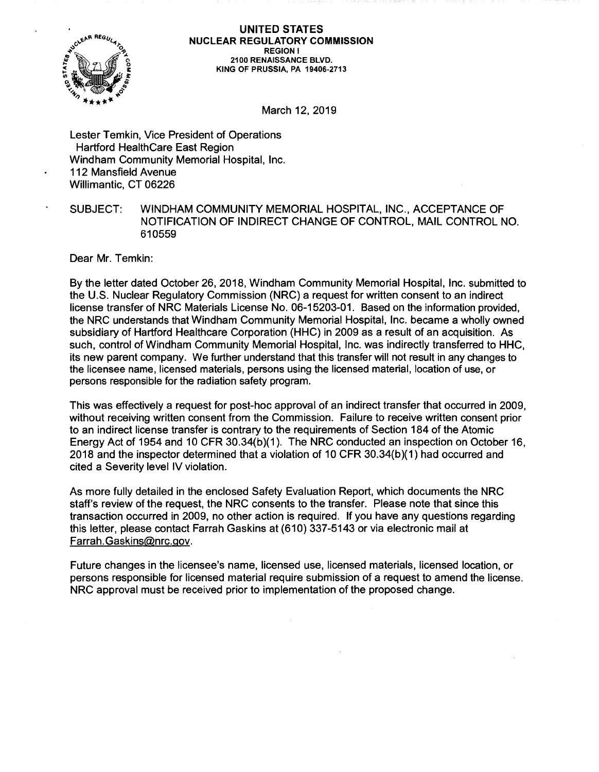

## **UNITED STATES NUCLEAR REGULATORY COMMISSION REGION** I **2100 RENAISSANCE BLVD. KING OF PRUSSIA, PA 19406-2713**

March 12, 2019

Lester Temkin, Vice President of Operations Hartford HealthCare East Region Windham Community Memorial Hospital, Inc. 112 Mansfield Avenue Willimantic, CT 06226

## SUBJECT: WINDHAM COMMUNITY MEMORIAL HOSPITAL, INC., ACCEPTANCE OF NOTIFICATION OF INDIRECT CHANGE OF CONTROL, MAIL CONTROL NO. 610559

Dear Mr. Temkin:

By the letter dated October 26, 2018, Windham Community Memorial Hospital, Inc. submitted to the U.S. Nuclear Regulatory Commission (NRC) a request for written consent to an indirect license transfer of NRC Materials License No. 06-15203-01. Based on the information provided, the NRC understands that Windham Community Memorial Hospital, Inc. became a wholly owned subsidiary of Hartford Healthcare Corporation (HHC) in 2009 as a result of an acquisition. As such, control of Windham Community Memorial Hospital, Inc. was indirectly transferred to HHC, its new parent company. We further understand that this transfer will not result in any changes to the licensee name, licensed materials, persons using the licensed material, location of use, or persons responsible for the radiation safety program.

This was effectively a request for post-hoc approval of an indirect transfer that occurred in 2009, without receiving written consent from the Commission. Failure to receive written consent prior to an indirect license transfer is contrary to the requirements of Section 184 of the Atomic Energy Act of 1954 and 10 CFR 30.34(b)(1). The NRC conducted an inspection on October 16, 2018 and the inspector determined that a violation of 10 CFR  $30.34(b)(1)$  had occurred and cited a Severity level IV violation.

As more fully detailed in the enclosed Safety Evaluation Report, which documents the NRC staff's review of the request, the NRC consents to the transfer. Please note that since this transaction occurred in 2009, no other action is required. If you have any questions regarding this letter, please contact Farrah Gaskins at (610) 337-5143 or via electronic mail at Farrah.Gaskins@nrc.gov.

Future changes in the licensee's name, licensed use, licensed materials, licensed location, or persons responsible for licensed material require submission of a request to amend the license. NRC approval must be received prior to implementation of the proposed change.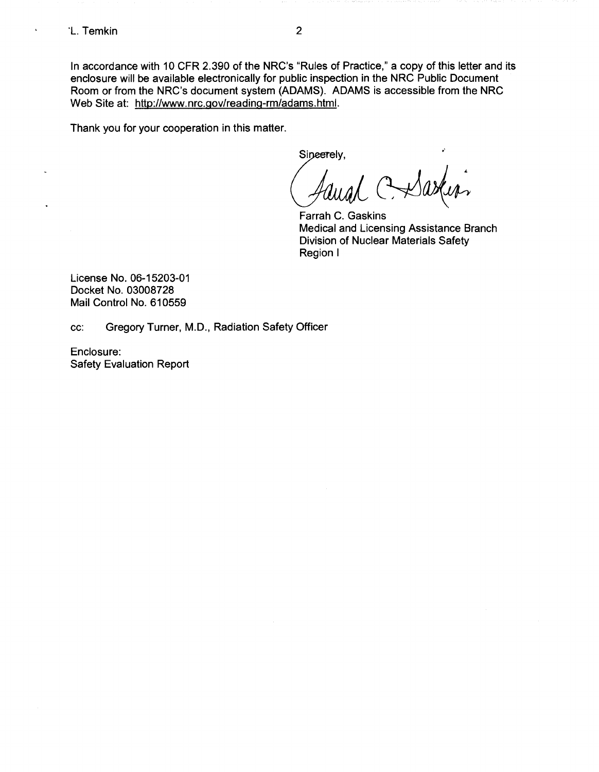$\ddot{\phantom{a}}$ 

In accordance with 10 CFR 2.390 of the NRC's "Rules of Practice," a copy of this letter and its enclosure will be available electronically for public inspection in the NRC Public Document Room or from the NRC's document system (ADAMS). ADAMS is accessible from the NRC Web Site at: http://www.nrc.gov/reading-rm/adams.html.

Thank you for your cooperation in this matter.

Sineerely,

Farrah C. Gaskins Medical and Licensing Assistance Branch Division of Nuclear Materials Safety Region I

•'

License No. 06-15203-01 Docket No. 03008728 Mail Control No. 610559

cc: Gregory Turner, M.D., Radiation Safety Officer

Enclosure: Safety Evaluation Report